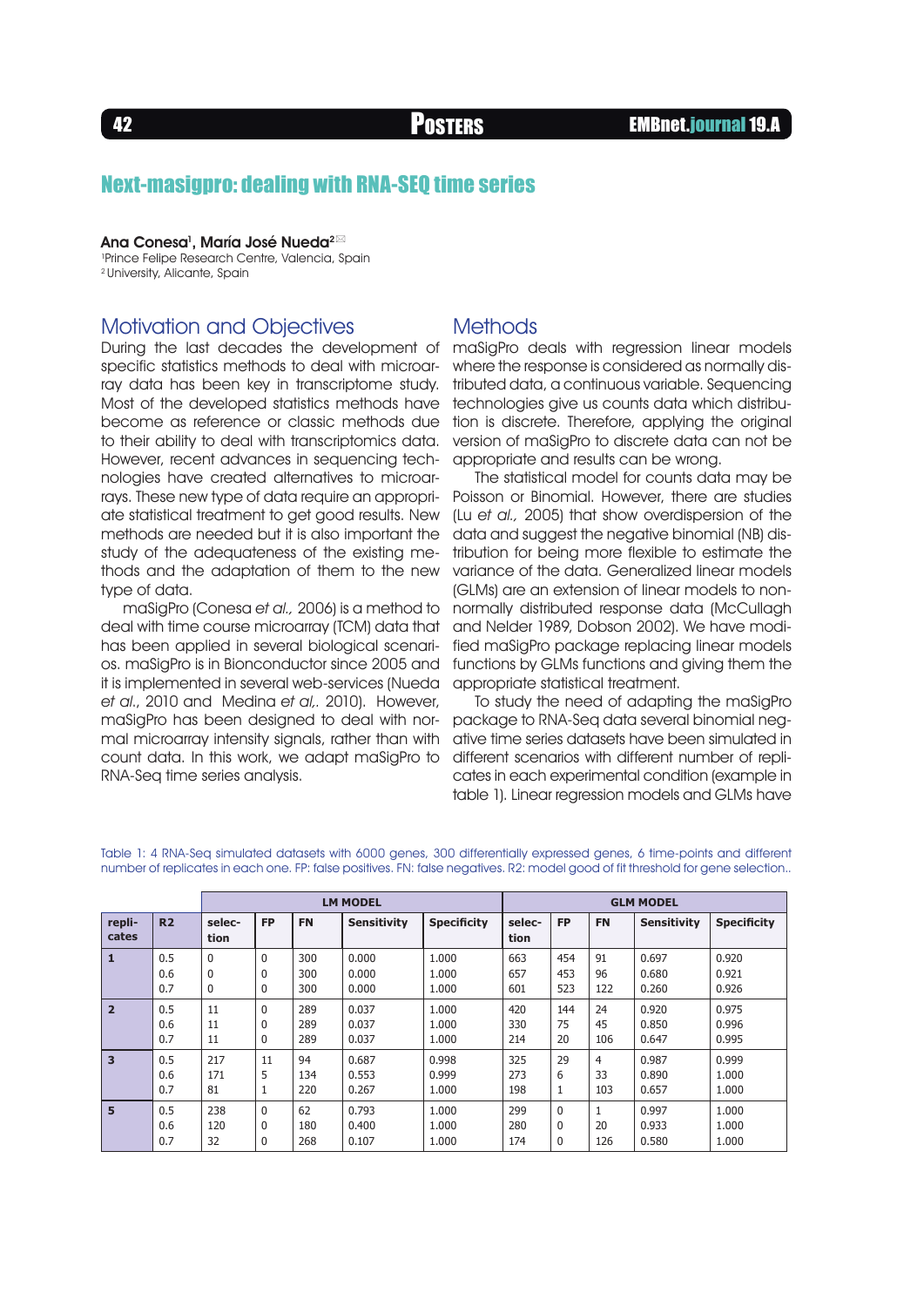## Next-masigpro: dealing with RNA-SEQ time series

Ana Conesa<sup>1</sup>, María José Nueda $^{2\boxtimes}$ 1 Prince Felipe Research Centre, Valencia, Spain 2 University, Alicante, Spain

## Motivation and Objectives

During the last decades the development of specific statistics methods to deal with microarray data has been key in transcriptome study. Most of the developed statistics methods have become as reference or classic methods due to their ability to deal with transcriptomics data. However, recent advances in sequencing technologies have created alternatives to microarrays. These new type of data require an appropriate statistical treatment to get good results. New methods are needed but it is also important the study of the adequateness of the existing methods and the adaptation of them to the new type of data.

maSigPro (Conesa et al., 2006) is a method to deal with time course microarray (TCM) data that has been applied in several biological scenarios. maSigPro is in Bionconductor since 2005 and it is implemented in several web-services (Nueda et al., 2010 and Medina et al,. 2010). However, maSigPro has been designed to deal with normal microarray intensity signals, rather than with count data. In this work, we adapt maSigPro to RNA-Seq time series analysis.

### **Methods**

maSigPro deals with regression linear models where the response is considered as normally distributed data, a continuous variable. Sequencing technologies give us counts data which distribution is discrete. Therefore, applying the original version of maSigPro to discrete data can not be appropriate and results can be wrong.

The statistical model for counts data may be Poisson or Binomial. However, there are studies (Lu et al., 2005) that show overdispersion of the data and suggest the negative binomial (NB) distribution for being more flexible to estimate the variance of the data. Generalized linear models (GLMs) are an extension of linear models to nonnormally distributed response data (McCullagh and Nelder 1989, Dobson 2002). We have modified maSigPro package replacing linear models functions by GLMs functions and giving them the appropriate statistical treatment.

To study the need of adapting the maSigPro package to RNA-Seq data several binomial negative time series datasets have been simulated in different scenarios with different number of replicates in each experimental condition (example in table 1). Linear regression models and GLMs have

|                         |                | <b>LM MODEL</b> |           |           |                    |                    | <b>GLM MODEL</b> |              |              |                    |                    |
|-------------------------|----------------|-----------------|-----------|-----------|--------------------|--------------------|------------------|--------------|--------------|--------------------|--------------------|
| repli-<br>cates         | R <sub>2</sub> | selec-<br>tion  | <b>FP</b> | <b>FN</b> | <b>Sensitivity</b> | <b>Specificity</b> | selec-<br>tion   | <b>FP</b>    | <b>FN</b>    | <b>Sensitivity</b> | <b>Specificity</b> |
| $\mathbf{1}$            | 0.5            | $\Omega$        | $\Omega$  | 300       | 0.000              | 1.000              | 663              | 454          | 91           | 0.697              | 0.920              |
|                         | 0.6            | 0               | $\Omega$  | 300       | 0.000              | 1.000              | 657              | 453          | 96           | 0.680              | 0.921              |
|                         | 0.7            | $\Omega$        | $\Omega$  | 300       | 0.000              | 1.000              | 601              | 523          | 122          | 0.260              | 0.926              |
| $\overline{2}$          | 0.5            | 11              | $\Omega$  | 289       | 0.037              | 1.000              | 420              | 144          | 24           | 0.920              | 0.975              |
|                         | 0.6            | 11              | $\Omega$  | 289       | 0.037              | 1.000              | 330              | 75           | 45           | 0.850              | 0.996              |
|                         | 0.7            | 11              | $\Omega$  | 289       | 0.037              | 1.000              | 214              | 20           | 106          | 0.647              | 0.995              |
| $\overline{\mathbf{3}}$ | 0.5            | 217             | 11        | 94        | 0.687              | 0.998              | 325              | 29           | 4            | 0.987              | 0.999              |
|                         | 0.6            | 171             | 5         | 134       | 0.553              | 0.999              | 273              | 6            | 33           | 0.890              | 1.000              |
|                         | 0.7            | 81              | 1         | 220       | 0.267              | 1.000              | 198              | 1            | 103          | 0.657              | 1.000              |
| 5                       | 0.5            | 238             | $\Omega$  | 62        | 0.793              | 1.000              | 299              | $\mathbf{0}$ | $\mathbf{1}$ | 0.997              | 1.000              |
|                         | 0.6            | 120             | $\Omega$  | 180       | 0.400              | 1.000              | 280              | 0            | 20           | 0.933              | 1.000              |
|                         | 0.7            | 32              | $\Omega$  | 268       | 0.107              | 1.000              | 174              | 0            | 126          | 0.580              | 1.000              |

Table 1: 4 RNA-Seq simulated datasets with 6000 genes, 300 differentially expressed genes, 6 time-points and different number of replicates in each one. FP: false positives. FN: false negatives. R2: model good of fit threshold for gene selection..